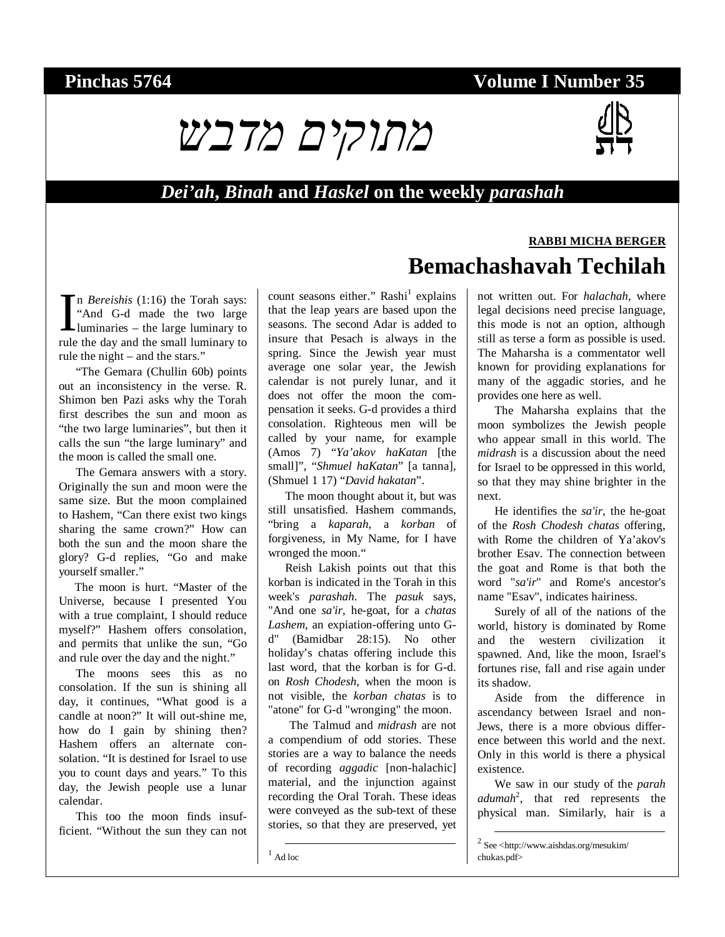# **Pinchas 5764 Volume I Number 35**



#### *Dei'ah***,** *Binah* **and** *Haskel* **on the weekly** *parashah*

n *Bereishis* (1:16) the Torah says: "And G-d made the two large In *Bereishis* (1:16) the Torah says:<br>
"And G-d made the two large<br>
luminaries – the large luminary to rule the day and the small luminary to rule the day and the small luminary to rule the night – and the stars."

"The Gemara (Chullin 60b) points out an inconsistency in the verse. R. Shimon ben Pazi asks why the Torah first describes the sun and moon as "the two large luminaries", but then it calls the sun "the large luminary" and the moon is called the small one.

The Gemara answers with a story. Originally the sun and moon were the same size. But the moon complained to Hashem, "Can there exist two kings sharing the same crown?" How can both the sun and the moon share the glory? G-d replies, "Go and make yourself smaller."

The moon is hurt. "Master of the Universe, because I presented You with a true complaint, I should reduce myself?" Hashem offers consolation, and permits that unlike the sun, "Go and rule over the day and the night."

The moons sees this as no consolation. If the sun is shining all day, it continues, "What good is a candle at noon?" It will out-shine me, how do I gain by shining then? Hashem offers an alternate consolation. "It is destined for Israel to use you to count days and years." To this day, the Jewish people use a lunar calendar.

This too the moon finds insufficient. "Without the sun they can not

count seasons either." Rashi<sup>1</sup> explains that the leap years are based upon the seasons. The second Adar is added to insure that Pesach is always in the spring. Since the Jewish year must average one solar year, the Jewish calendar is not purely lunar, and it does not offer the moon the compensation it seeks. G-d provides a third consolation. Righteous men will be called by your name, for example (Amos 7) "*Ya'akov haKatan* [the small]", "*Shmuel haKatan*" [a tanna], (Shmuel 1 17) "*David hakatan*".

The moon thought about it, but was still unsatisfied. Hashem commands, "bring a *kaparah*, a *korban* of forgiveness, in My Name, for I have wronged the moon."

Reish Lakish points out that this korban is indicated in the Torah in this week's *parashah*. The *pasuk* says, "And one *sa'ir*, he-goat, for a *chatas Lashem*, an expiation-offering unto Gd" (Bamidbar 28:15). No other holiday's chatas offering include this last word, that the korban is for G-d. on *Rosh Chodesh*, when the moon is not visible, the *korban chatas* is to "atone" for G-d "wronging" the moon.

The Talmud and *midrash* are not a compendium of odd stories. These stories are a way to balance the needs of recording *aggadic* [non-halachic] material, and the injunction against recording the Oral Torah. These ideas were conveyed as the sub-text of these stories, so that they are preserved, yet

not written out. For *halachah*, where legal decisions need precise language, this mode is not an option, although still as terse a form as possible is used. The Maharsha is a commentator well known for providing explanations for many of the aggadic stories, and he

**Bemachashavah Techilah** 

**RABBI MICHA BERGER**

provides one here as well. The Maharsha explains that the moon symbolizes the Jewish people who appear small in this world. The *midrash* is a discussion about the need for Israel to be oppressed in this world, so that they may shine brighter in the next.

He identifies the *sa'ir*, the he-goat of the *Rosh Chodesh chatas* offering, with Rome the children of Ya'akov's brother Esav. The connection between the goat and Rome is that both the word "*sa'ir*" and Rome's ancestor's name "Esav", indicates hairiness.

Surely of all of the nations of the world, history is dominated by Rome and the western civilization it spawned. And, like the moon, Israel's fortunes rise, fall and rise again under its shadow.

Aside from the difference in ascendancy between Israel and non-Jews, there is a more obvious difference between this world and the next. Only in this world is there a physical existence.

We saw in our study of the *parah adumah*<sup>2</sup> , that red represents the physical man. Similarly, hair is a

 <sup>2</sup> See <http://www.aishdas.org/mesukim/ chukas.pdf>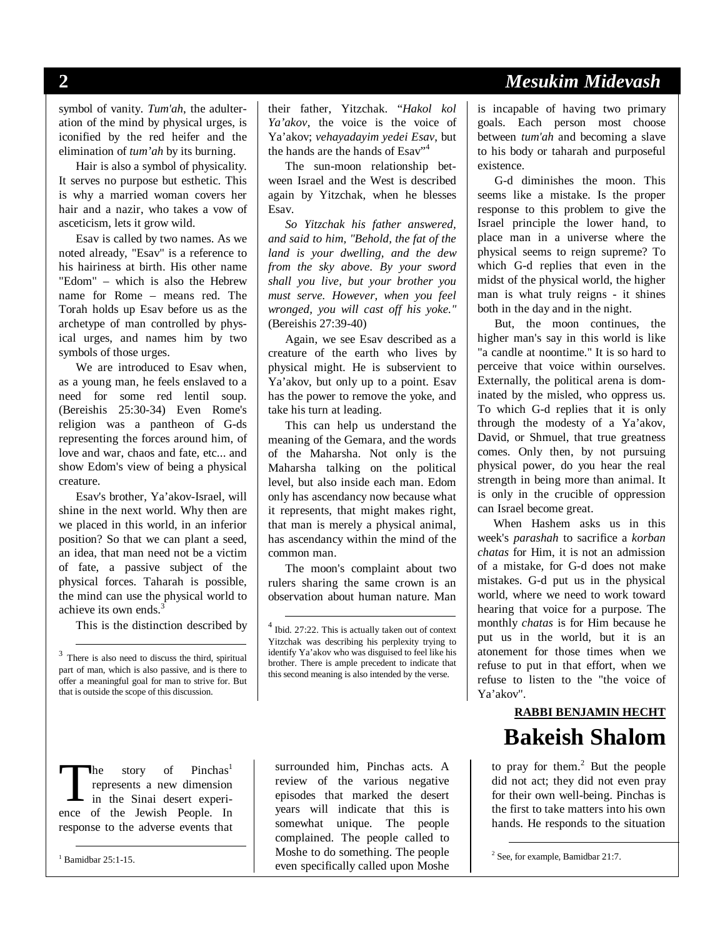symbol of vanity. *Tum'ah*, the adulteration of the mind by physical urges, is iconified by the red heifer and the elimination of *tum'ah* by its burning.

Hair is also a symbol of physicality. It serves no purpose but esthetic. This is why a married woman covers her hair and a nazir, who takes a vow of asceticism, lets it grow wild.

Esav is called by two names. As we noted already, "Esav" is a reference to his hairiness at birth. His other name "Edom" – which is also the Hebrew name for Rome – means red. The Torah holds up Esav before us as the archetype of man controlled by physical urges, and names him by two symbols of those urges.

We are introduced to Esav when, as a young man, he feels enslaved to a need for some red lentil soup. (Bereishis 25:30-34) Even Rome's religion was a pantheon of G-ds representing the forces around him, of love and war, chaos and fate, etc... and show Edom's view of being a physical creature.

Esav's brother, Ya'akov-Israel, will shine in the next world. Why then are we placed in this world, in an inferior position? So that we can plant a seed, an idea, that man need not be a victim of fate, a passive subject of the physical forces. Taharah is possible, the mind can use the physical world to achieve its own ends.<sup>3</sup>

This is the distinction described by

he story of Pinchas<sup>1</sup> represents a new dimension in the Sinai desert experi-The story of Pinchas<sup>1</sup> represents a new dimension<br>in the Sinai desert experi-<br>ence of the Jewish People. In response to the adverse events that

1 Bamidbar 25:1-15.

their father, Yitzchak. "*Hakol kol Ya'akov*, the voice is the voice of Ya'akov; *vehayadayim yedei Esav*, but the hands are the hands of Esav"<sup>4</sup>

The sun-moon relationship between Israel and the West is described again by Yitzchak, when he blesses Esav.

*So Yitzchak his father answered, and said to him, "Behold, the fat of the land is your dwelling, and the dew from the sky above. By your sword shall you live, but your brother you must serve. However, when you feel wronged, you will cast off his yoke."*  (Bereishis 27:39-40)

Again, we see Esav described as a creature of the earth who lives by physical might. He is subservient to Ya'akov, but only up to a point. Esav has the power to remove the yoke, and take his turn at leading.

This can help us understand the meaning of the Gemara, and the words of the Maharsha. Not only is the Maharsha talking on the political level, but also inside each man. Edom only has ascendancy now because what it represents, that might makes right, that man is merely a physical animal, has ascendancy within the mind of the common man.

The moon's complaint about two rulers sharing the same crown is an observation about human nature. Man

surrounded him, Pinchas acts. A review of the various negative episodes that marked the desert years will indicate that this is somewhat unique. The people complained. The people called to Moshe to do something. The people even specifically called upon Moshe

### **2** *Mesukim Midevash*

is incapable of having two primary goals. Each person most choose between *tum'ah* and becoming a slave to his body or taharah and purposeful existence.

G-d diminishes the moon. This seems like a mistake. Is the proper response to this problem to give the Israel principle the lower hand, to place man in a universe where the physical seems to reign supreme? To which G-d replies that even in the midst of the physical world, the higher man is what truly reigns - it shines both in the day and in the night.

But, the moon continues, the higher man's say in this world is like "a candle at noontime." It is so hard to perceive that voice within ourselves. Externally, the political arena is dominated by the misled, who oppress us. To which G-d replies that it is only through the modesty of a Ya'akov, David, or Shmuel, that true greatness comes. Only then, by not pursuing physical power, do you hear the real strength in being more than animal. It is only in the crucible of oppression can Israel become great.

When Hashem asks us in this week's *parashah* to sacrifice a *korban chatas* for Him, it is not an admission of a mistake, for G-d does not make mistakes. G-d put us in the physical world, where we need to work toward hearing that voice for a purpose. The monthly *chatas* is for Him because he put us in the world, but it is an atonement for those times when we refuse to put in that effort, when we refuse to listen to the "the voice of Ya'akov".

# **RABBI BENJAMIN HECHT Bakeish Shalom**

to pray for them. $2$  But the people did not act; they did not even pray for their own well-being. Pinchas is the first to take matters into his own hands. He responds to the situation

 <sup>3</sup> There is also need to discuss the third, spiritual part of man, which is also passive, and is there to offer a meaningful goal for man to strive for. But that is outside the scope of this discussion.

 <sup>4</sup> Ibid. 27:22. This is actually taken out of context Yitzchak was describing his perplexity trying to identify Ya'akov who was disguised to feel like his brother. There is ample precedent to indicate that this second meaning is also intended by the verse.

 <sup>2</sup> See, for example, Bamidbar 21:7.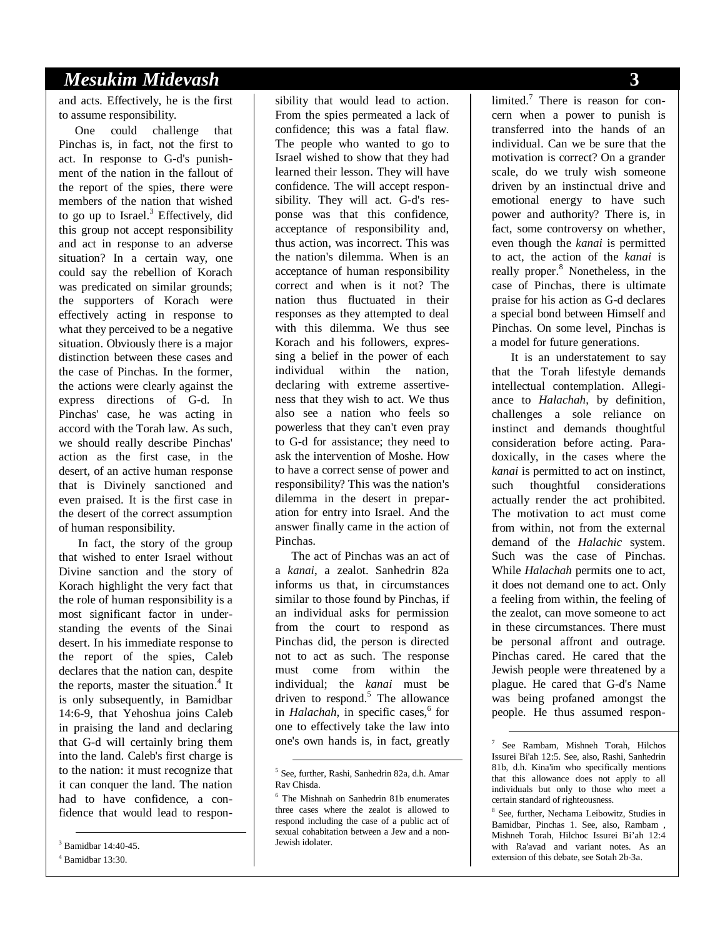### *Mesukim Midevash* **3**

and acts. Effectively, he is the first to assume responsibility.

One could challenge that Pinchas is, in fact, not the first to act. In response to G-d's punishment of the nation in the fallout of the report of the spies, there were members of the nation that wished to go up to Israel.<sup>3</sup> Effectively, did this group not accept responsibility and act in response to an adverse situation? In a certain way, one could say the rebellion of Korach was predicated on similar grounds; the supporters of Korach were effectively acting in response to what they perceived to be a negative situation. Obviously there is a major distinction between these cases and the case of Pinchas. In the former, the actions were clearly against the express directions of G-d. In Pinchas' case, he was acting in accord with the Torah law. As such, we should really describe Pinchas' action as the first case, in the desert, of an active human response that is Divinely sanctioned and even praised. It is the first case in the desert of the correct assumption of human responsibility.

 In fact, the story of the group that wished to enter Israel without Divine sanction and the story of Korach highlight the very fact that the role of human responsibility is a most significant factor in understanding the events of the Sinai desert. In his immediate response to the report of the spies, Caleb declares that the nation can, despite the reports, master the situation.<sup>4</sup> It is only subsequently, in Bamidbar 14:6-9, that Yehoshua joins Caleb in praising the land and declaring that G-d will certainly bring them into the land. Caleb's first charge is to the nation: it must recognize that it can conquer the land. The nation had to have confidence, a confidence that would lead to respon-

 3 Bamidbar 14:40-45. 4 Bamidbar 13:30.

sibility that would lead to action. From the spies permeated a lack of confidence; this was a fatal flaw. The people who wanted to go to Israel wished to show that they had learned their lesson. They will have confidence. The will accept responsibility. They will act. G-d's response was that this confidence, acceptance of responsibility and, thus action, was incorrect. This was the nation's dilemma. When is an acceptance of human responsibility correct and when is it not? The nation thus fluctuated in their responses as they attempted to deal with this dilemma. We thus see Korach and his followers, expressing a belief in the power of each individual within the nation, declaring with extreme assertiveness that they wish to act. We thus also see a nation who feels so powerless that they can't even pray to G-d for assistance; they need to ask the intervention of Moshe. How to have a correct sense of power and responsibility? This was the nation's dilemma in the desert in preparation for entry into Israel. And the answer finally came in the action of Pinchas.

The act of Pinchas was an act of a *kanai*, a zealot. Sanhedrin 82a informs us that, in circumstances similar to those found by Pinchas, if an individual asks for permission from the court to respond as Pinchas did, the person is directed not to act as such. The response must come from within the individual; the *kanai* must be driven to respond.<sup>5</sup> The allowance in *Halachah*, in specific cases,<sup>6</sup> for one to effectively take the law into one's own hands is, in fact, greatly

limited.<sup>7</sup> There is reason for concern when a power to punish is transferred into the hands of an individual. Can we be sure that the motivation is correct? On a grander scale, do we truly wish someone driven by an instinctual drive and emotional energy to have such power and authority? There is, in fact, some controversy on whether, even though the *kanai* is permitted to act, the action of the *kanai* is really proper.<sup>8</sup> Nonetheless, in the case of Pinchas, there is ultimate praise for his action as G-d declares a special bond between Himself and Pinchas. On some level, Pinchas is a model for future generations.

 It is an understatement to say that the Torah lifestyle demands intellectual contemplation. Allegiance to *Halachah*, by definition, challenges a sole reliance on instinct and demands thoughtful consideration before acting. Paradoxically, in the cases where the *kanai* is permitted to act on instinct, such thoughtful considerations actually render the act prohibited. The motivation to act must come from within, not from the external demand of the *Halachic* system. Such was the case of Pinchas. While *Halachah* permits one to act, it does not demand one to act. Only a feeling from within, the feeling of the zealot, can move someone to act in these circumstances. There must be personal affront and outrage. Pinchas cared. He cared that the Jewish people were threatened by a plague. He cared that G-d's Name was being profaned amongst the people. He thus assumed respon-

 <sup>5</sup> See, further, Rashi, Sanhedrin 82a, d.h. Amar Rav Chisda.

<sup>6</sup> The Mishnah on Sanhedrin 81b enumerates three cases where the zealot is allowed to respond including the case of a public act of sexual cohabitation between a Jew and a non-Jewish idolater.

 <sup>7</sup> See Rambam, Mishneh Torah, Hilchos Issurei Bi'ah 12:5. See, also, Rashi, Sanhedrin 81b, d.h. Kina'im who specifically mentions that this allowance does not apply to all individuals but only to those who meet a certain standard of righteousness.

<sup>8</sup> See, further, Nechama Leibowitz, Studies in Bamidbar, Pinchas 1. See, also, Rambam , Mishneh Torah, Hilchoc Issurei Bi'ah 12:4 with Ra'avad and variant notes. As an extension of this debate, see Sotah 2b-3a.